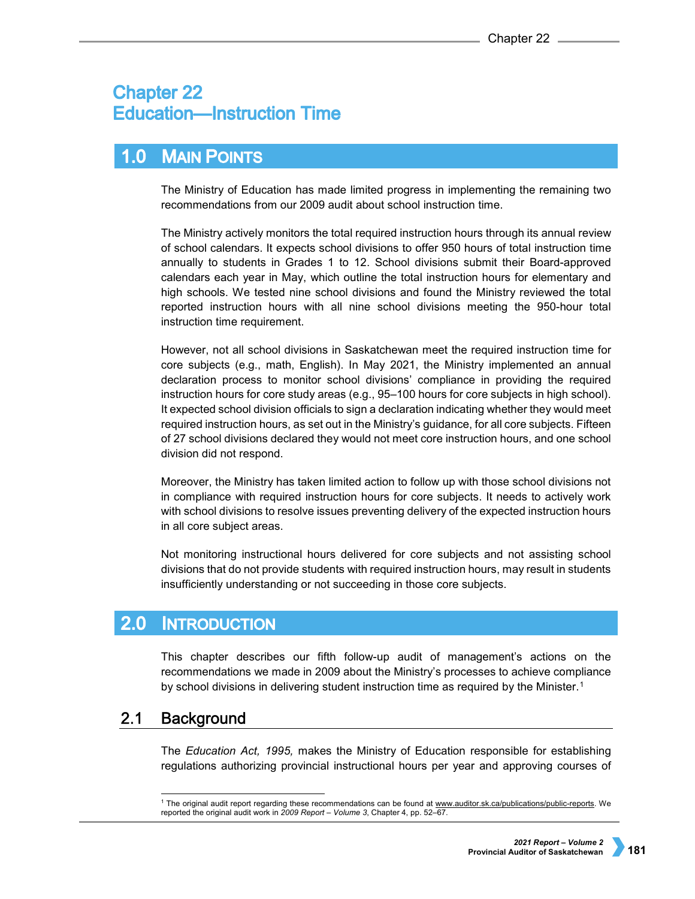# **Chapter 22 Education-Instruction Time**

## **MAIN POINTS**  $1.0$

The Ministry of Education has made limited progress in implementing the remaining two recommendations from our 2009 audit about school instruction time.

The Ministry actively monitors the total required instruction hours through its annual review of school calendars. It expects school divisions to offer 950 hours of total instruction time annually to students in Grades 1 to 12. School divisions submit their Board-approved calendars each year in May, which outline the total instruction hours for elementary and high schools. We tested nine school divisions and found the Ministry reviewed the total reported instruction hours with all nine school divisions meeting the 950-hour total instruction time requirement.

However, not all school divisions in Saskatchewan meet the required instruction time for core subjects (e.g., math, English). In May 2021, the Ministry implemented an annual declaration process to monitor school divisions' compliance in providing the required instruction hours for core study areas (e.g., 95–100 hours for core subjects in high school). It expected school division officials to sign a declaration indicating whether they would meet required instruction hours, as set out in the Ministry's guidance, for all core subjects. Fifteen of 27 school divisions declared they would not meet core instruction hours, and one school division did not respond.

Moreover, the Ministry has taken limited action to follow up with those school divisions not in compliance with required instruction hours for core subjects. It needs to actively work with school divisions to resolve issues preventing delivery of the expected instruction hours in all core subject areas.

Not monitoring instructional hours delivered for core subjects and not assisting school divisions that do not provide students with required instruction hours, may result in students insufficiently understanding or not succeeding in those core subjects.

## $2.0$ **INTRODUCTION**

This chapter describes our fifth follow-up audit of management's actions on the recommendations we made in 2009 about the Ministry's processes to achieve compliance by school divisions in delivering student instruction time as required by the Minister.<sup>[1](#page-0-0)</sup>

#### <span id="page-0-0"></span> $2.1$ **Background**

The *Education Act, 1995,* makes the Ministry of Education responsible for establishing regulations authorizing provincial instructional hours per year and approving courses of

 <sup>1</sup> The original audit report regarding these recommendations can be found at [www.auditor.sk.ca/publications/public-reports.](http://www.auditor.sk.ca/publications/public-reports) We reported the original audit work in *2009 Report* – *Volume 3*, Chapter 4, pp. 52–67.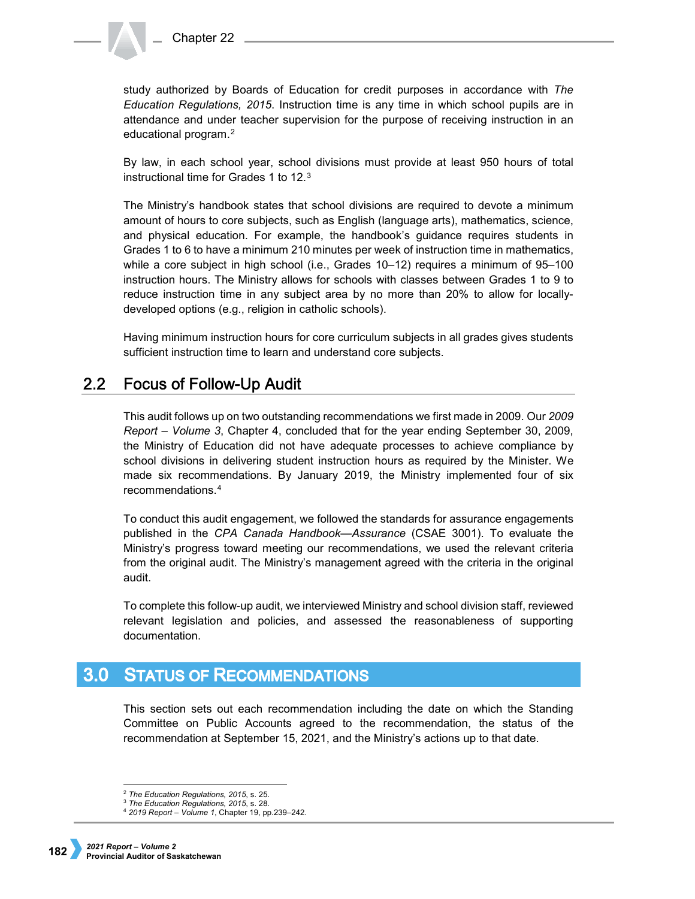study authorized by Boards of Education for credit purposes in accordance with *The Education Regulations, 2015*. Instruction time is any time in which school pupils are in attendance and under teacher supervision for the purpose of receiving instruction in an educational program.[2](#page-1-0)

By law, in each school year, school divisions must provide at least 950 hours of total instructional time for Grades 1 to 12.[3](#page-1-1)

The Ministry's handbook states that school divisions are required to devote a minimum amount of hours to core subjects, such as English (language arts), mathematics, science, and physical education. For example, the handbook's guidance requires students in Grades 1 to 6 to have a minimum 210 minutes per week of instruction time in mathematics, while a core subject in high school (i.e., Grades 10–12) requires a minimum of 95–100 instruction hours. The Ministry allows for schools with classes between Grades 1 to 9 to reduce instruction time in any subject area by no more than 20% to allow for locallydeveloped options (e.g., religion in catholic schools).

Having minimum instruction hours for core curriculum subjects in all grades gives students sufficient instruction time to learn and understand core subjects.

#### $2.2<sub>2</sub>$ **Focus of Follow-Up Audit**

This audit follows up on two outstanding recommendations we first made in 2009. Our *2009 Report – Volume 3*, Chapter 4, concluded that for the year ending September 30, 2009, the Ministry of Education did not have adequate processes to achieve compliance by school divisions in delivering student instruction hours as required by the Minister. We made six recommendations. By January 2019, the Ministry implemented four of six recommendations.[4](#page-1-2)

To conduct this audit engagement, we followed the standards for assurance engagements published in the *CPA Canada Handbook—Assurance* (CSAE 3001). To evaluate the Ministry's progress toward meeting our recommendations, we used the relevant criteria from the original audit. The Ministry's management agreed with the criteria in the original audit.

To complete this follow-up audit, we interviewed Ministry and school division staff, reviewed relevant legislation and policies, and assessed the reasonableness of supporting documentation.

#### $3.0$ **STATUS OF RECOMMENDATIONS**

This section sets out each recommendation including the date on which the Standing Committee on Public Accounts agreed to the recommendation, the status of the recommendation at September 15, 2021, and the Ministry's actions up to that date.

<span id="page-1-0"></span> <sup>2</sup> *The Education Regulations, 2015*, s. 25.

<span id="page-1-1"></span><sup>3</sup> *The Education Regulations, 2015*, s. 28.

<span id="page-1-2"></span><sup>4</sup> *2019 Report – Volume 1*, Chapter 19, pp.239–242.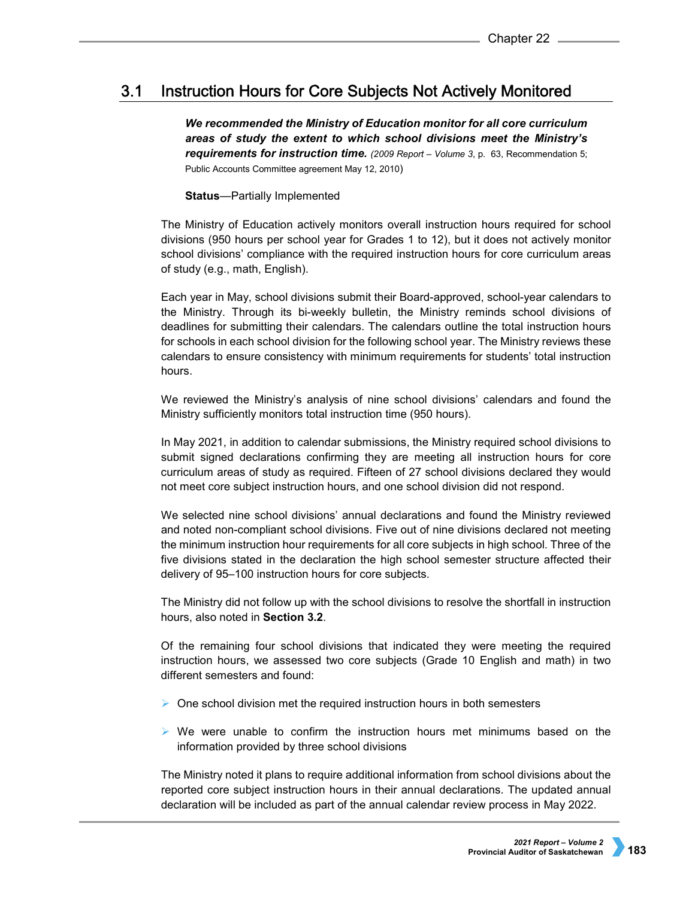#### $3.1$ **Instruction Hours for Core Subjects Not Actively Monitored**

*We recommended the Ministry of Education monitor for all core curriculum areas of study the extent to which school divisions meet the Ministry's requirements for instruction time. (2009 Report – Volume 3*, p. 63, Recommendation 5; Public Accounts Committee agreement May 12, 2010)

# **Status**—Partially Implemented

The Ministry of Education actively monitors overall instruction hours required for school divisions (950 hours per school year for Grades 1 to 12), but it does not actively monitor school divisions' compliance with the required instruction hours for core curriculum areas of study (e.g., math, English).

Each year in May, school divisions submit their Board-approved, school-year calendars to the Ministry. Through its bi-weekly bulletin, the Ministry reminds school divisions of deadlines for submitting their calendars. The calendars outline the total instruction hours for schools in each school division for the following school year. The Ministry reviews these calendars to ensure consistency with minimum requirements for students' total instruction hours.

We reviewed the Ministry's analysis of nine school divisions' calendars and found the Ministry sufficiently monitors total instruction time (950 hours).

In May 2021, in addition to calendar submissions, the Ministry required school divisions to submit signed declarations confirming they are meeting all instruction hours for core curriculum areas of study as required. Fifteen of 27 school divisions declared they would not meet core subject instruction hours, and one school division did not respond.

We selected nine school divisions' annual declarations and found the Ministry reviewed and noted non-compliant school divisions. Five out of nine divisions declared not meeting the minimum instruction hour requirements for all core subjects in high school. Three of the five divisions stated in the declaration the high school semester structure affected their delivery of 95–100 instruction hours for core subjects.

The Ministry did not follow up with the school divisions to resolve the shortfall in instruction hours, also noted in **Section 3.2**.

Of the remaining four school divisions that indicated they were meeting the required instruction hours, we assessed two core subjects (Grade 10 English and math) in two different semesters and found:

- $\triangleright$  One school division met the required instruction hours in both semesters
- $\triangleright$  We were unable to confirm the instruction hours met minimums based on the information provided by three school divisions

The Ministry noted it plans to require additional information from school divisions about the reported core subject instruction hours in their annual declarations. The updated annual declaration will be included as part of the annual calendar review process in May 2022.